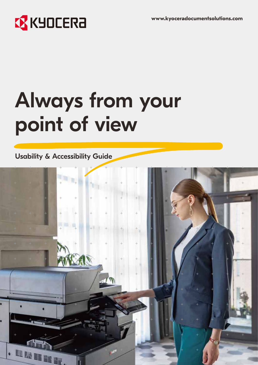# **EX** KYOCERA

# Always from your point of view

#### Usability & Accessibility Guide

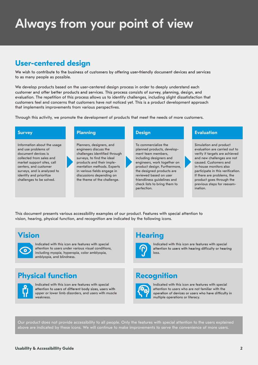## Always from your point of view

#### **User-centered design**

We wish to contribute to the business of customers by offering user-friendly document devices and services to as many people as possible.

We develop products based on the user-centered design process in order to deeply understand each customer and offer better products and services. This process consists of survey, planning, design, and evaluation. The repetition of this process allows us to identify challenges, including slight dissatisfaction that customers feel and concerns that customers have not noticed yet. This is a product development approach that implements improvements from various perspectives.

Through this activity, we promote the development of products that meet the needs of more customers.

Information about the usage and use problems of document devices is collected from sales and market support sites, call centers, and customer surveys, and is analyzed to identify and prioritize challenges to be solved.

#### **Survey Planning**

Planners, designers, and engineers discuss the challenges identified through surveys, to find the ideal products and their implementation methods. Experts in various fields engage in discussions depending on the theme of the challenge.

To commercialize the planned products, development team members, including designers and engineers, work together on product design. Furthermore, the designed products are reviewed based on user friendliness guidelines and check lists to bring them to perfection.

#### **Design Evaluation**

Simulation and product evaluation are carried out to verify if targets are achieved and new challenges are not caused. Customers and in-house monitors also participate in this verification. If there are problems, the product goes through the previous steps for reexamination.

This document presents various accessibility examples of our product. Features with special attention to vision, hearing, physical function, and recognition are indicated by the following icons.

#### **Vision**



Indicated with this icon are features with special attention to users under various visual conditions, including myopia, hyperopia, color amblyopia, amblyopia, and blindness.

#### **Physical function**



Indicated with this icon are features with special attention to users of different body sizes, users with upper or lower limb disorders, and users with muscle weakness.

#### **Hearing**



Indicated with this icon are features with special<br>attention to users with hearing difficulty or hearing loss.

#### **Recognition**



Indicated with this icon are features with special attention to users who are not familiar with the operation of devices or users who have difficulty in multiple operations or literacy.

Our product does not provide accessibility to all people. Only the features with special attention to the users explained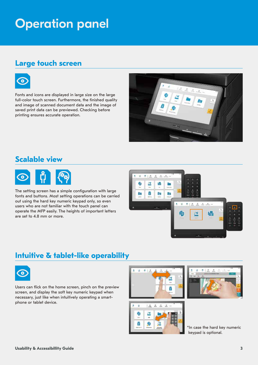### Operation panel

#### **Large touch screen**



Fonts and icons are displayed in large size on the large full-color touch screen. Furthermore, the finished quality and image of scanned document data and the image of saved print data can be previewed. Checking before printing ensures accurate operation.



#### **Scalable view**



The setting screen has a simple configuration with large fonts and buttons. Most setting operations can be carried out using the hard key numeric keypad only, so even users who are not familiar with the touch panel can operate the MFP easily. The heights of important letters are set to 4.8 mm or more.



#### **Intuitive & tablet-like operability**



Users can flick on the home screen, pinch on the preview screen, and display the soft key numeric keypad when necessary, just like when intuitively operating a smartphone or tablet device.







\*In case the hard key numeric keypad is optional.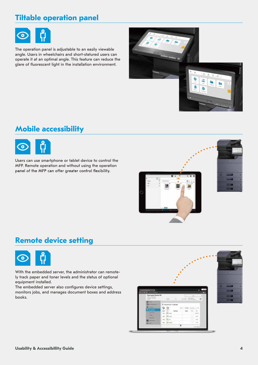### **Tiltable operation panel**



The operation panel is adjustable to an easily viewable angle. Users in wheelchairs and short-statured users can operate it at an optimal angle. This feature can reduce the glare of fluorescent light in the installation environment.



#### **Mobile accessibility**



Users can use smartphone or tablet device to control the MFP. Remote operation and without using the operation panel of the MFP can offer greater control flexibility.



#### **Remote device setting**



With the embedded server, the administrator can remotely track paper and toner levels and the status of optional equipment installed.

The embedded server also configures device settings, monitors jobs, and manages document boxes and address books.

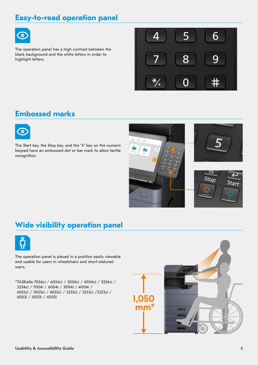#### **Easy-to-read operation panel**



The operation panel has a high contrast between the black background and the white letters in order to highlight letters.



#### **Embossed marks**



The Start key, the Stop key, and the "5" key on the numeric keypad have an embossed dot or bar mark to allow tactile recognition.



#### **Wide visibility operation panel**



The operation panel is placed in a position easily viewable and usable for users in wheelchairs and short-statured users.

\*TASKalfa 7054ci / 6054ci / 5054ci / 4054ci / 3554ci / 2554ci / 7004i / 6004i / 5004i / 4004i / 6053ci / 5053ci / 4053ci / 3553ci / 3253ci /2553ci / 6003i / 5003i / 4003i

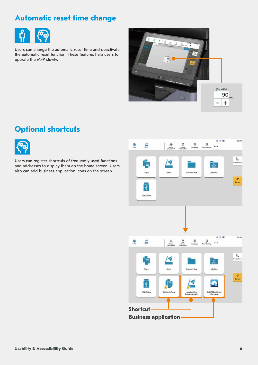#### **Automatic reset time change**



Users can change the automatic reset time and deactivate the automatic reset function. These features help users to operate the MFP slowly.



#### **Optional shortcuts**



Users can register shortcuts of frequently used functions and addresses to display them on the home screen. Users also can add business application icons on the screen.

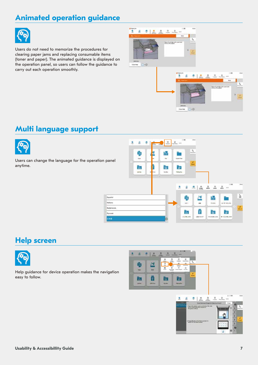#### **Animated operation guidance**



Users do not need to memorize the procedures for clearing paper jams and replacing consumable items (toner and paper). The animated guidance is displayed on the operation panel, so users can follow the guidance to carry out each operation smoothly.



#### **Multi language support**



Users can change the language for the operation panel anytime.



#### **Help screen**



Help guidance for device operation makes the navigation easy to follow.



**L'Assistant a National**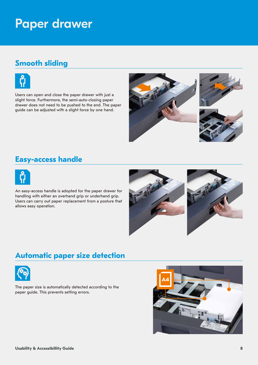### Paper drawer

#### **Smooth sliding**



Users can open and close the paper drawer with just a slight force. Furthermore, the semi-auto-closing paper drawer does not need to be pushed to the end. The paper guide can be adjusted with a slight force by one hand.



#### **Easy-access handle**



An easy-access handle is adopted for the paper drawer for handling with either an overhand grip or underhand grip. Users can carry out paper replacement from a posture that allows easy operation.



#### **Automatic paper size detection**



The paper size is automatically detected according to the paper guide. This prevents setting errors.

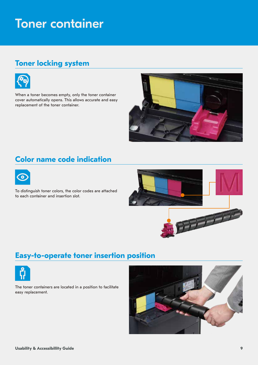### Toner container

#### **Toner locking system**



When a toner becomes empty, only the toner container cover automatically opens. This allows accurate and easy replacement of the toner container.



#### **Color name code indication**



To distinguish toner colors, the color codes are attached to each container and insertion slot.



#### **Easy-to-operate toner insertion position**



The toner containers are located in a position to facilitate easy replacement.

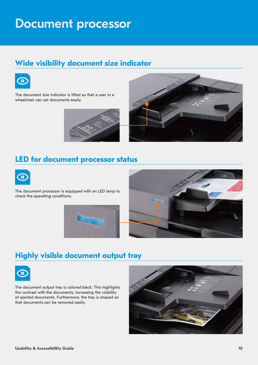### Document processor

#### **Wide visibility document size indicator**



The document size indicator is tilted so that a user in a wheelchair can set documents easily.





#### **LED for document processor status**



The document processor is equipped with an LED lamp to check the operating conditions.





#### **Highly visible document output tray**



The document output tray is colored black. This highlights the contrast with the documents, increasing the visibility of ejected documents. Furthermore, the tray is shaped so that documents can be removed easily.

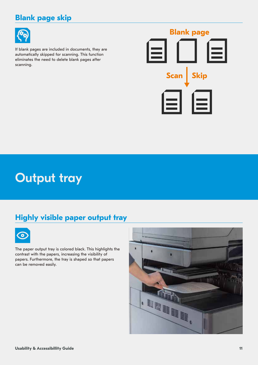### **Blank page skip**



If blank pages are included in documents, they are automatically skipped for scanning. This function eliminates the need to delete blank pages after scanning.



### Output tray

### **Highly visible paper output tray**



The paper output tray is colored black. This highlights the contrast with the papers, increasing the visibility of papers. Furthermore, the tray is shaped so that papers can be removed easily.

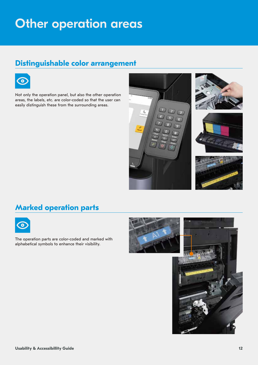### Other operation areas

#### **Distinguishable color arrangement**



Not only the operation panel, but also the other operation areas, the labels, etc. are color-coded so that the user can easily distinguish these from the surrounding areas.



#### **Marked operation parts**



The operation parts are color-coded and marked with alphabetical symbols to enhance their visibility.

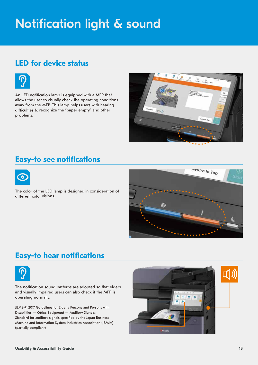## Notification light & sound

#### **LED for device status**



An LED notification lamp is equipped with a MFP that allows the user to visually check the operating conditions away from the MFP. This lamp helps users with hearing difficulties to recognize the "paper empty" and other problems.



#### **Easy-to see notifications**



The color of the LED lamp is designed in consideration of different color visions.



#### **Easy-to hear notifications**



The notification sound patterns are adopted so that elders and visually impaired users can also check if the MFP is operating normally.

Disabilities  $-$  Office Equipment  $-$  Auditory Signals: Standard for auditory signals specified by the Japan Business Machine and Information System Industries Association (JBMIA) (partially compliant) JBMS-71:2017 Guidelines for Elderly Persons and Persons with

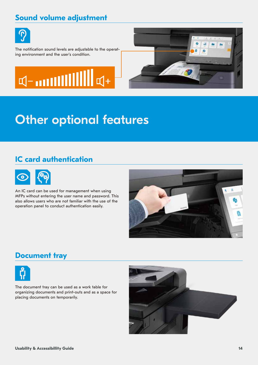#### **Sound volume adjustment**



The notification sound levels are adjustable to the operating environment and the user's condition.





### Other optional features

### **IC card authentication**



An IC card can be used for management when using MFPs without entering the user name and password. This also allows users who are not familiar with the use of the operation panel to conduct authentication easily.



#### **Document tray**



The document tray can be used as a work table for organizing documents and print-outs and as a space for placing documents on temporarily.